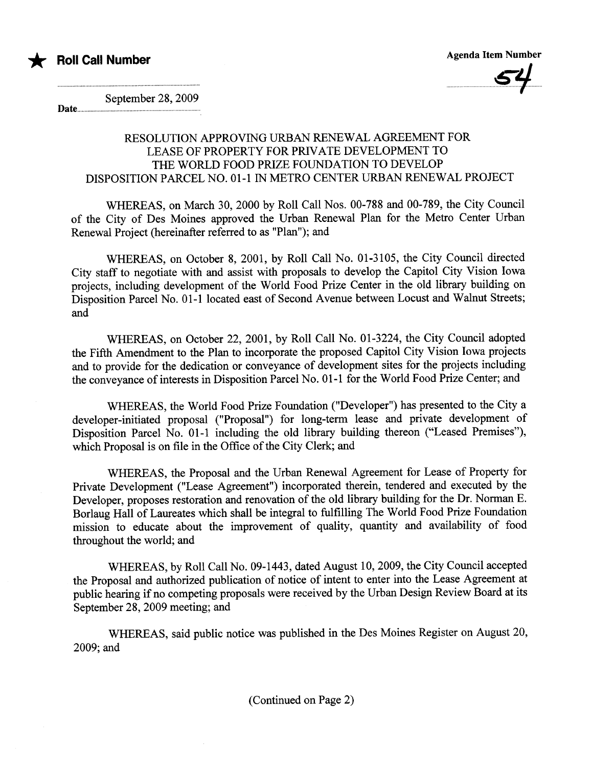



September 28, 2009 Date.

**Roll Call Number** 

RESOLUTION APPROVING URBAN RENEWAL AGREEMENT FOR LEASE OF PROPERTY FOR PRIVATE DEVELOPMENT TO THE WORLD FOOD PRIZE FOUNDATION TO DEVELOP DISPOSITION PARCEL NO. 01-1 IN METRO CENTER URBAN RENEWAL PROJECT

WHEREAS, on March 30, 2000 by Roll Call Nos. 00-788 and 00-789, the City Council of the City of Des Moines approved the Urban Renewal Plan for the Metro Center Urban Renewal Project (hereinafter referred to as "Plan"); and

WHEREAS, on October 8, 2001, by Roll Call No. 01-3105, the City Council directed City staff to negotiate with and assist with proposals to develop the Capitol City Vision Iowa projects, including development of the World Food Prize Center in the old library building on Disposition Parcel No. 01-1 located east of Second Avenue between Locust and Walnut Streets; and

WHEREAS, on October 22, 2001, by Roll Call No. 01-3224, the City Council adopted the Fifth Amendment to the Plan to incorporate the proposed Capitol City Vision Iowa projects and to provide for the dedication or conveyance of development sites for the projects including the conveyance of interests in Disposition Parcel No. 01-1 for the World Food Prize Center; and

WHEREAS, the World Food Prize Foundation ("Developer") has presented to the City a developer-initiated proposal ("Proposal") for long-term lease and private development of Disposition Parcel No. 01-1 including the old library building thereon ("Leased Premises"), which Proposal is on file in the Office of the City Clerk; and

WHEREAS, the Proposal and the Urban Renewal Agreement for Lease of Property for Private Development ("Lease Agreement") incorporated therein, tendered and executed by the Developer, proposes restoration and renovation of the old library building for the Dr. Norman E. Borlaug Hall of Laureates which shall be integral to fulfilling The World Food Prize Foundation mission to educate about the improvement of quality, quantity and availability of food throughout the world; and

WHEREAS, by Roll Call No. 09-1443, dated August 10,2009, the City Council accepted the Proposal and authorized publication of notice of intent to enter into the Lease Agreement at public hearing if no competing proposals were received by the Urban Design Review Board at its September 28, 2009 meeting; and

WHEREAS, said public notice was published in the Des Moines Register on August 20, 2009; and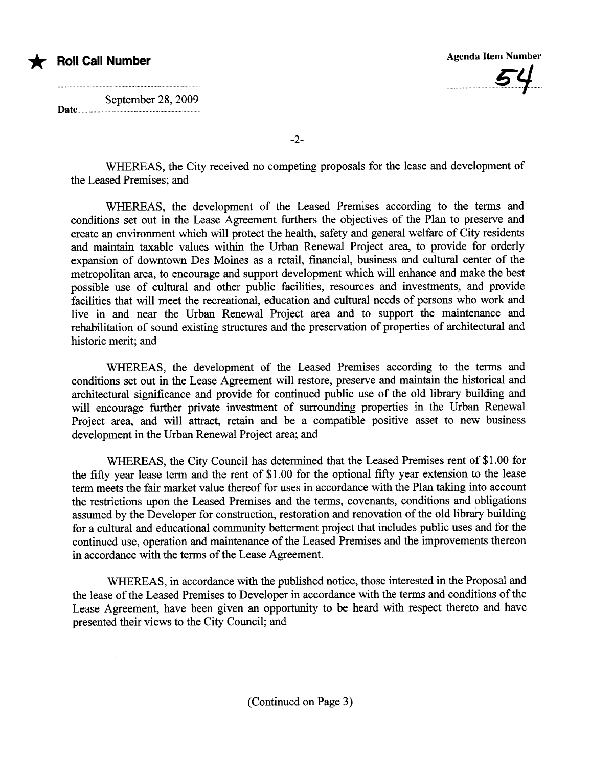

September 28, 2009

Date....

-2-

WHEREAS, the City received no competing proposals for the lease and development of the Leased Premises; and

WHEREAS, the development of the Leased Premises according to the terms and conditions set out in the Lease Agreement furthers the objectives of the Plan to preserve and create an environment which will protect the health, safety and general welfare of City residents and maintain taxable values within the Urban Renewal Project area, to provide for orderly expansion of downtown Des Moines as a retal, financial, business and cultual center of the metropolitan area, to encourage and support development which will enhance and make the best possible use of cultual and other public facilities, resources and investments, and provide facilities that will meet the recreational, education and cultural needs of persons who work and live in and near the Urban Renewal Project area and to support the maintenance and rehabilitation of sound existing structures and the preservation of properties of architectural and historic merit; and

WHREAS, the development of the Leased Premises according to the terms and conditions set out in the Lease Agreement will restore, preserve and maintain the historical and architectural significance and provide for continued public use of the old library building and will encourage further private investment of surrounding properties in the Urban Renewal Project area, and will attract, retain and be a compatible positive asset to new business development in the Urban Renewal Project area; and

WHEREAS, the City Council has determined that the Leased Premises rent of \$1.00 for the fifty year lease term and the rent of \$1.00 for the optional fifty year extension to the lease term meets the fair market value thereof for uses in accordance with the Plan taking into account the restrictions upon the Leased Premises and the terms, covenants, conditions and obligations assumed by the Developer for construction, restoration and renovation of the old library building for a cultual and educational communty betterment project that includes public uses and for the continued use, operation and maintenance of the Leased Premises and the improvements thereon in accordance with the terms of the Lease Agreement.

WHEREAS, in accordance with the published notice, those interested in the Proposal and the lease of the Leased Premises to Developer in accordance with the terms and conditions of the Lease Agreement, have been given an opportunity to be heard with respect thereto and have presented their views to the City Council; and

(Continued on Page 3)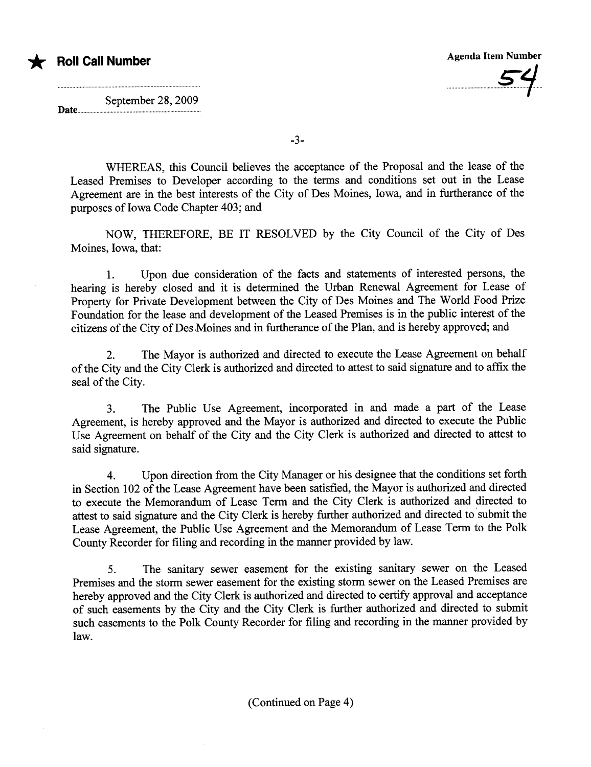

...........................£1

September 28, 2009

Date...

-3-

WHEREAS, this Council believes the acceptance of the Proposal and the lease of the Leased Premises to Developer according to the terms and conditions set out in the Lease Agreement are in the best interests of the City of Des Moines, Iowa, and in furtherance of the puroses of Iowa Code Chapter 403; and

NOW, THEREFORE, BE IT RESOLVED by the City Council of the City of Des Moines, Iowa, that:

1. Upon due consideration of the facts and statements of interested persons, the hearing is hereby closed and it is determined the Urban Renewal Agreement for Lease of Property for Private Development between the City of Des Moines and The World Food Prize Foundation for the lease and development of the Leased Premises is in the public interest of the citizens of the City of Des Moines and in furtherance of the Plan, and is hereby approved; and

2. The Mayor is authorized and directed to execute the Lease Agreement on behalf of the City and the City Clerk is authorized and directed to attest to said signatue and to affix the seal of the City.

3. The Public Use Agreement, incorporated in and made a part of the Lease Agreement, is hereby approved and the Mayor is authorized and directed to execute the Public Use Agreement on behalf of the City and the City Clerk is authorized and directed to attest to said signature.

4. Upon direction from the City Manager or his designee that the conditions set fort in Section 102 of the Lease Agreement have been satisfied, the Mayor is authorized and directed to execute the Memorandum of Lease Term and the City Clerk is authorized and directed to attest to said signature and the City Clerk is hereby further authorized and directed to submit the Lease Agreement, the Public Use Agreement and the Memorandum of Lease Term to the Polk County Recorder for filing and recording in the maner provided by law.

5. The sanitary sewer easement for the existing sanitary sewer on the Leased Premises and the storm sewer easement for the existing storm sewer on the Leased Premises are hereby approved and the City Clerk is authorized and directed to certify approval and acceptance of such easements by the City and the City Clerk is further authorized and directed to submit such easements to the Polk County Recorder for filing and recording in the maner provided by law.